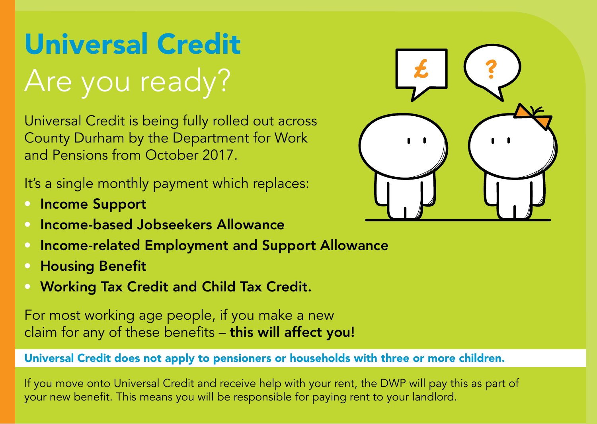## Universal Credit Are you ready?

Universal Credit is being fully rolled out across County Durham by the Department for Work and Pensions from October 2017.

It's a single monthly payment which replaces:

- Income Support
- Income-based Jobseekers Allowance
- Income-related Employment and Support Allowance
- • Housing Benefit
- Working Tax Credit and Child Tax Credit.

For most working age people, if you make a new claim for any of these benefits - this will affect you!

## Universal Credit does not apply to pensioners or households with three or more children.

If you move onto Universal Credit and receive help with your rent, the DWP will pay this as part of your new benefit. This means you will be responsible for paying rent to your landlord.